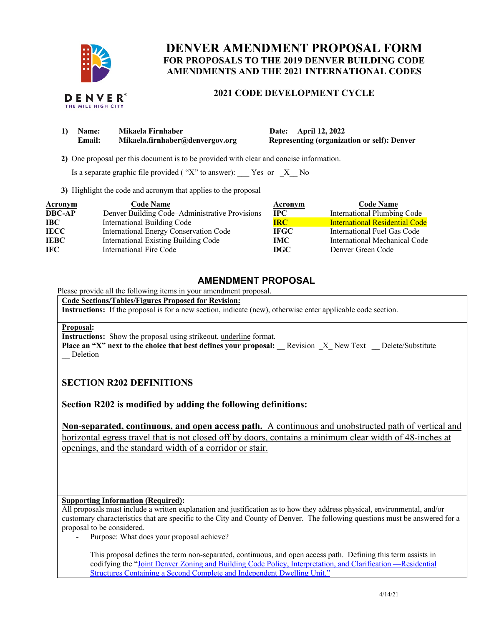

# **AMENDMENTS AND THE 2021 INTERNATIONAL CODES DENVER AMENDMENT PROPOSAL FORM FOR PROPOSALS TO THE 2019 DENVER BUILDING CODE**

### **2021 CODE DEVELOPMENT CYCLE**

| 1) | Name:         | Mikaela Firnhaber               | April 12, 2022<br><b>Date:</b> |
|----|---------------|---------------------------------|--------------------------------|
|    | <b>Email:</b> | Mikaela.firnhaber@denvergov.org | <b>Representing (organiza</b>  |

**Representing (organization or self): Denver** 

**2)** One proposal per this document is to be provided with clear and concise information.

Is a separate graphic file provided (" $X$ " to answer): Yes or  $X$  No

**3)** Highlight the code and acronym that applies to the proposal

| <b>Acronym</b> | <b>Code Name</b>                               | Acronym     | <b>Code Name</b>                      |
|----------------|------------------------------------------------|-------------|---------------------------------------|
| <b>DBC-AP</b>  | Denver Building Code-Administrative Provisions | $\bf IPC$   | International Plumbing Code           |
| IBC -          | International Building Code                    | <b>IRC</b>  | <b>International Residential Code</b> |
| <b>IECC</b>    | <b>International Energy Conservation Code</b>  | <b>IFGC</b> | International Fuel Gas Code           |
| <b>IEBC</b>    | International Existing Building Code           | IMC.        | International Mechanical Code         |
| IFC.           | International Fire Code                        | DGC         | Denver Green Code                     |

## **AMENDMENT PROPOSAL**

Please provide all the following items in your amendment proposal.

 **Code Sections/Tables/Figures Proposed for Revision:** 

**Instructions:** If the proposal is for a new section, indicate (new), otherwise enter applicable code section.

#### **Proposal:**

**Instructions:** Show the proposal using strikeout, underline format.

**Place an "X" next to the choice that best defines your proposal:** Revision X\_ New Text \_\_ Delete/Substitute \_\_ Deletion

## **SECTION R202 DEFINITIONS**

**Section R202 is modified by adding the following definitions:** 

 **Non-separated, continuous, and open access path.** A continuous and unobstructed path of vertical and horizontal egress travel that is not closed off by doors, contains a minimum clear width of 48-inches at openings, and the standard width of a corridor or stair.

### **Supporting Information (Required):**

 All proposals must include a written explanation and justification as to how they address physical, environmental, and/or customary characteristics that are specific to the City and County of Denver. The following questions must be answered for a proposal to be considered.

- Purpose: What does your proposal achieve?

 This proposal defines the term non-separated, continuous, and open access path. Defining this term assists in codifying the "Joint Denver Zoning and Building Code Policy, Interpretation, and Clarification —Residential Structures Containing a Second Complete and Independent Dwelling Unit."